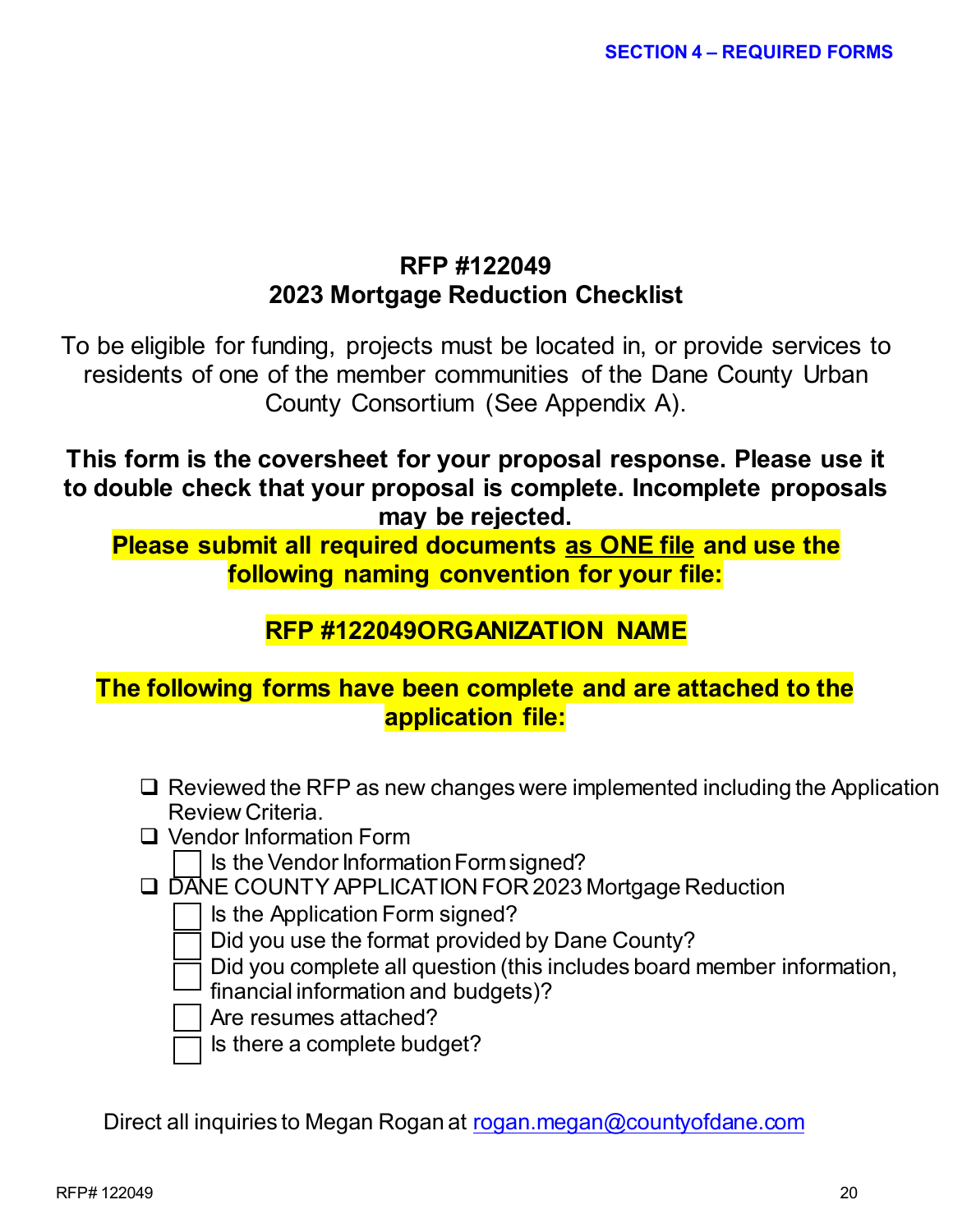# **RFP #122049 2023 Mortgage Reduction Checklist**

To be eligible for funding, projects must be located in, or provide services to residents of one of the member communities of the Dane County Urban County Consortium (See Appendix A).

**This form is the coversheet for your proposal response. Please use it to double check that your proposal is complete. Incomplete proposals may be rejected.**

**Please submit all required documents as ONE file and use the following naming convention for your file:**

## **RFP #122049ORGANIZATION NAME**

**The following forms have been complete and are attached to the application file:**

- $\Box$  Reviewed the RFP as new changes were implemented including the Application Review Criteria.
- □ Vendor Information Form
	- Is the Vendor Information Form signed?
- DANE COUNTY APPLICATION FOR 2023 Mortgage Reduction
	- Is the Application Form signed?
	- Did you use the format provided by Dane County?
	- Did you complete all question (this includes board member information,
	- financial information and budgets)?
	- Are resumes attached?
	- Is there a complete budget?

Direct all inquiries to Megan Rogan at [rogan.megan@countyofdane.com](mailto:rogan.megan@countyofdane.com)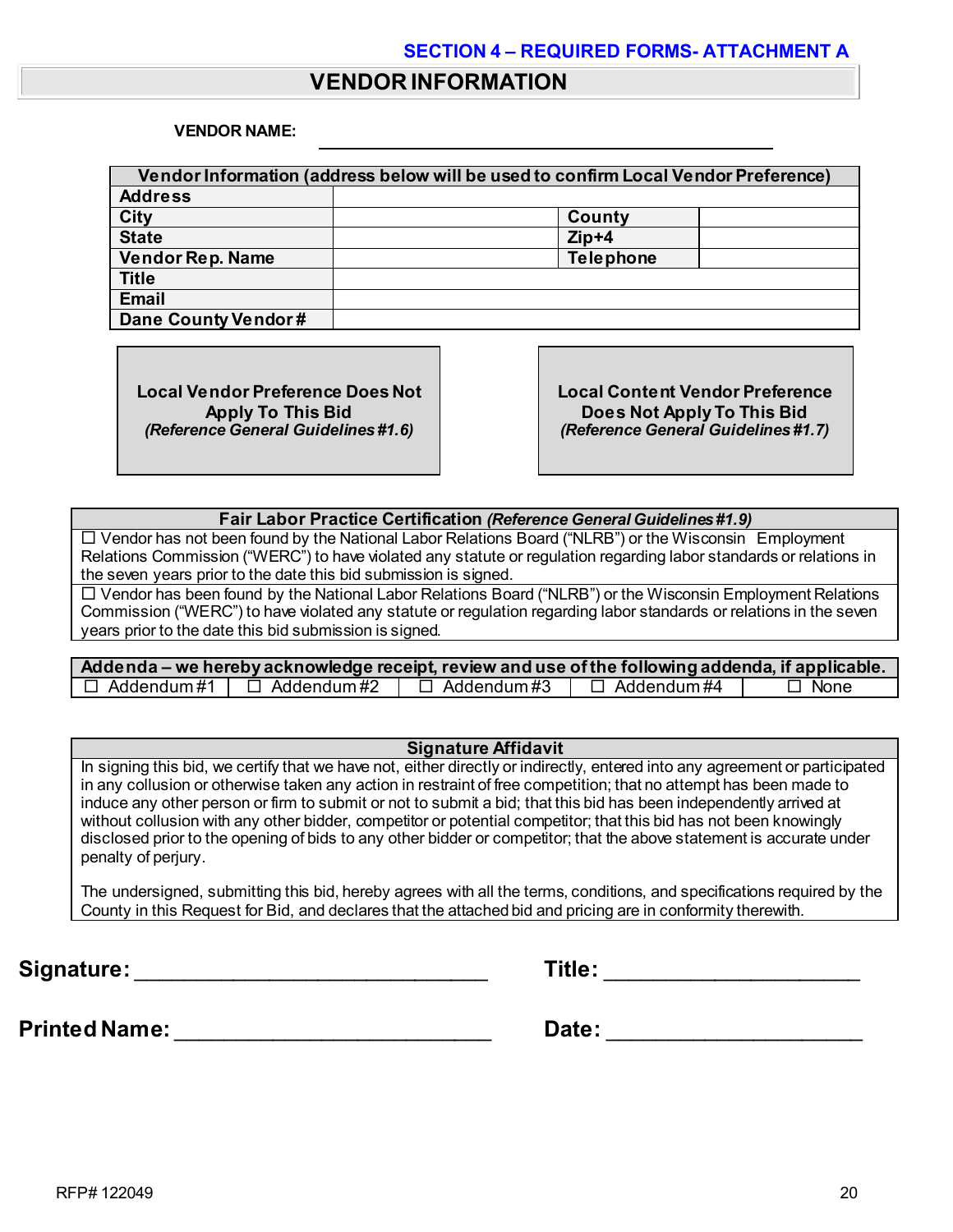### **VENDOR INFORMATION**

#### **VENDOR NAME:**

| Vendor Information (address below will be used to confirm Local Vendor Preference) |           |  |  |  |
|------------------------------------------------------------------------------------|-----------|--|--|--|
| <b>Address</b>                                                                     |           |  |  |  |
| <b>City</b>                                                                        | County    |  |  |  |
| <b>State</b>                                                                       | $Zip+4$   |  |  |  |
| Vendor Rep. Name                                                                   | Telephone |  |  |  |
| <b>Title</b>                                                                       |           |  |  |  |
| Email                                                                              |           |  |  |  |
| Dane County Vendor#                                                                |           |  |  |  |

**Local Vendor Preference Does Not Apply To This Bid** *(Reference General Guidelines #1.6)*

**Local Content Vendor Preference Does Not Apply To This Bid** *(Reference General Guidelines #1.7)*

#### **Fair Labor Practice Certification** *(Reference General Guidelines #1.9)*

 $\Box$  Vendor has not been found by the National Labor Relations Board ("NLRB") or the Wisconsin Employment Relations Commission ("WERC") to have violated any statute or regulation regarding labor standards or relations in the seven years prior to the date this bid submission is signed.

 Vendor has been found by the National Labor Relations Board ("NLRB") or the Wisconsin Employment Relations Commission ("WERC") to have violated any statute or regulation regarding labor standards or relations in the seven years prior to the date this bid submission is signed.

**Addenda – we hereby acknowledge receipt, review and use of the following addenda, if applicable.**<br>□ Addendum#1 □ □ Addendum#2 □ □ Addendum#3 □ □ Addendum#4 □ □ None  $\Box$  Addendum #1  $\Box$  Addendum #2  $\Box$  Addendum #3  $\Box$  Addendum #4

#### **Signature Affidavit**

In signing this bid, we certify that we have not, either directly or indirectly, entered into any agreement or participated in any collusion or otherwise taken any action in restraint of free competition; that no attempt has been made to induce any other person or firm to submit or not to submit a bid; that this bid has been independently arrived at without collusion with any other bidder, competitor or potential competitor; that this bid has not been knowingly disclosed prior to the opening of bids to any other bidder or competitor; that the above statement is accurate under penalty of perjury.

The undersigned, submitting this bid, hereby agrees with all the terms, conditions, and specifications required by the County in this Request for Bid, and declares that the attached bid and pricing are in conformity therewith.

**Signature:** \_\_\_\_\_\_\_\_\_\_\_\_\_\_\_\_\_\_\_\_\_\_\_\_\_\_\_\_\_ **Title:** \_\_\_\_\_\_\_\_\_\_\_\_\_\_\_\_\_\_\_\_\_

**Printed Name:** \_\_\_\_\_\_\_\_\_\_\_\_\_\_\_\_\_\_\_\_\_\_\_\_\_\_ **Date:** \_\_\_\_\_\_\_\_\_\_\_\_\_\_\_\_\_\_\_\_\_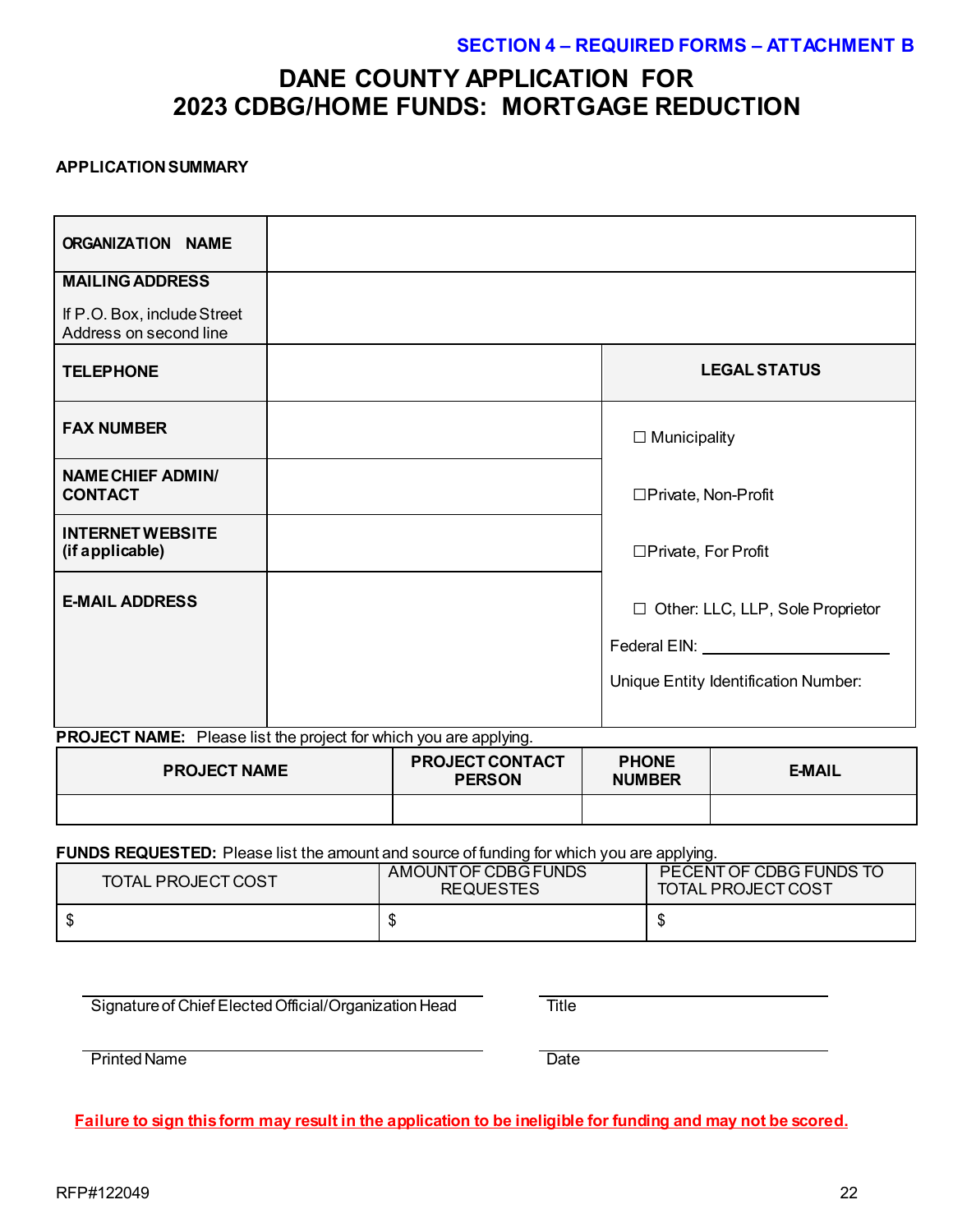# **DANE COUNTY APPLICATION FOR 2023 CDBG/HOME FUNDS: MORTGAGE REDUCTION**

#### **APPLICATIONSUMMARY**

| ORGANIZATION NAME                                     |                                                                   |                                                                                 |
|-------------------------------------------------------|-------------------------------------------------------------------|---------------------------------------------------------------------------------|
| <b>MAILING ADDRESS</b>                                |                                                                   |                                                                                 |
| If P.O. Box, include Street<br>Address on second line |                                                                   |                                                                                 |
| <b>TELEPHONE</b>                                      |                                                                   | <b>LEGAL STATUS</b>                                                             |
| <b>FAX NUMBER</b>                                     |                                                                   | $\Box$ Municipality                                                             |
| <b>NAME CHIEF ADMIN/</b><br><b>CONTACT</b>            |                                                                   | □Private, Non-Profit                                                            |
| <b>INTERNET WEBSITE</b><br>(if applicable)            |                                                                   | □Private, For Profit                                                            |
| <b>E-MAIL ADDRESS</b>                                 |                                                                   | $\Box$ Other: LLC, LLP, Sole Proprietor<br>Federal EIN: University of Predictor |
|                                                       |                                                                   | Unique Entity Identification Number:                                            |
|                                                       | PROJECT NAME: Please list the project for which you are applying. |                                                                                 |

| <b>PROJECT NAME</b> | PROJECT CONTACT<br><b>PERSON</b> | <b>PHONE</b><br><b>NUMBER</b> | <b>E-MAIL</b> |
|---------------------|----------------------------------|-------------------------------|---------------|
|                     |                                  |                               |               |

#### **FUNDS REQUESTED:** Please list the amount and source of funding for which you are applying.

| TOTAL PROJECT COST | AMOUNT OF CDBG FUNDS<br><b>REQUESTES</b> | PECENT OF CDBG FUNDS TO<br><b>TOTAL PROJECT COST</b> |
|--------------------|------------------------------------------|------------------------------------------------------|
|                    |                                          |                                                      |

Signature of Chief Elected Official/Organization Head Title

Printed Name Date

**Failure to sign this form may result in the application to be ineligible for funding and may not be scored.**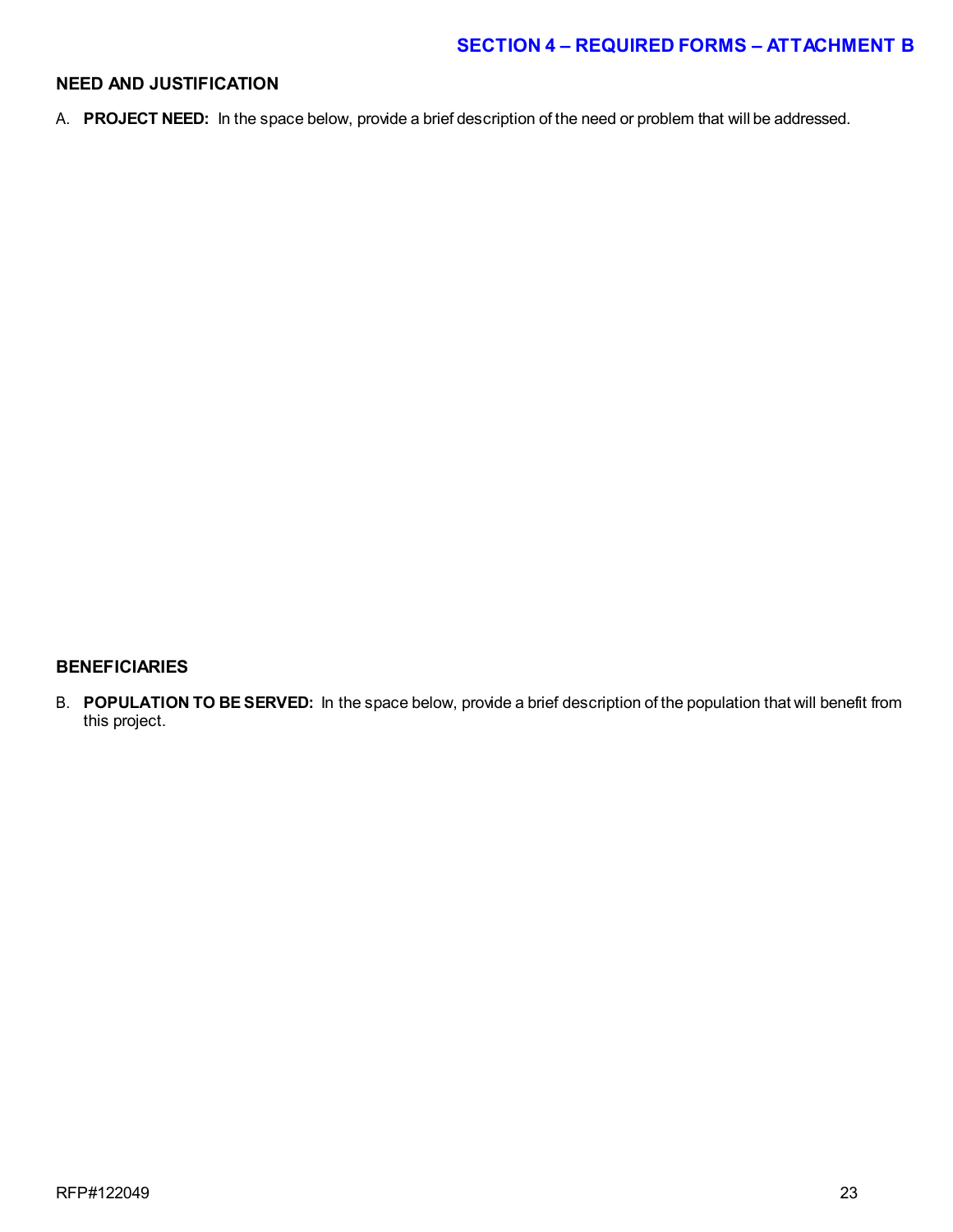### **NEED AND JUSTIFICATION**

A. **PROJECT NEED:** In the space below, provide a brief description of the need or problem that will be addressed.

#### **BENEFICIARIES**

B. **POPULATION TO BE SERVED:** In the space below, provide a brief description of the population that will benefit from this project.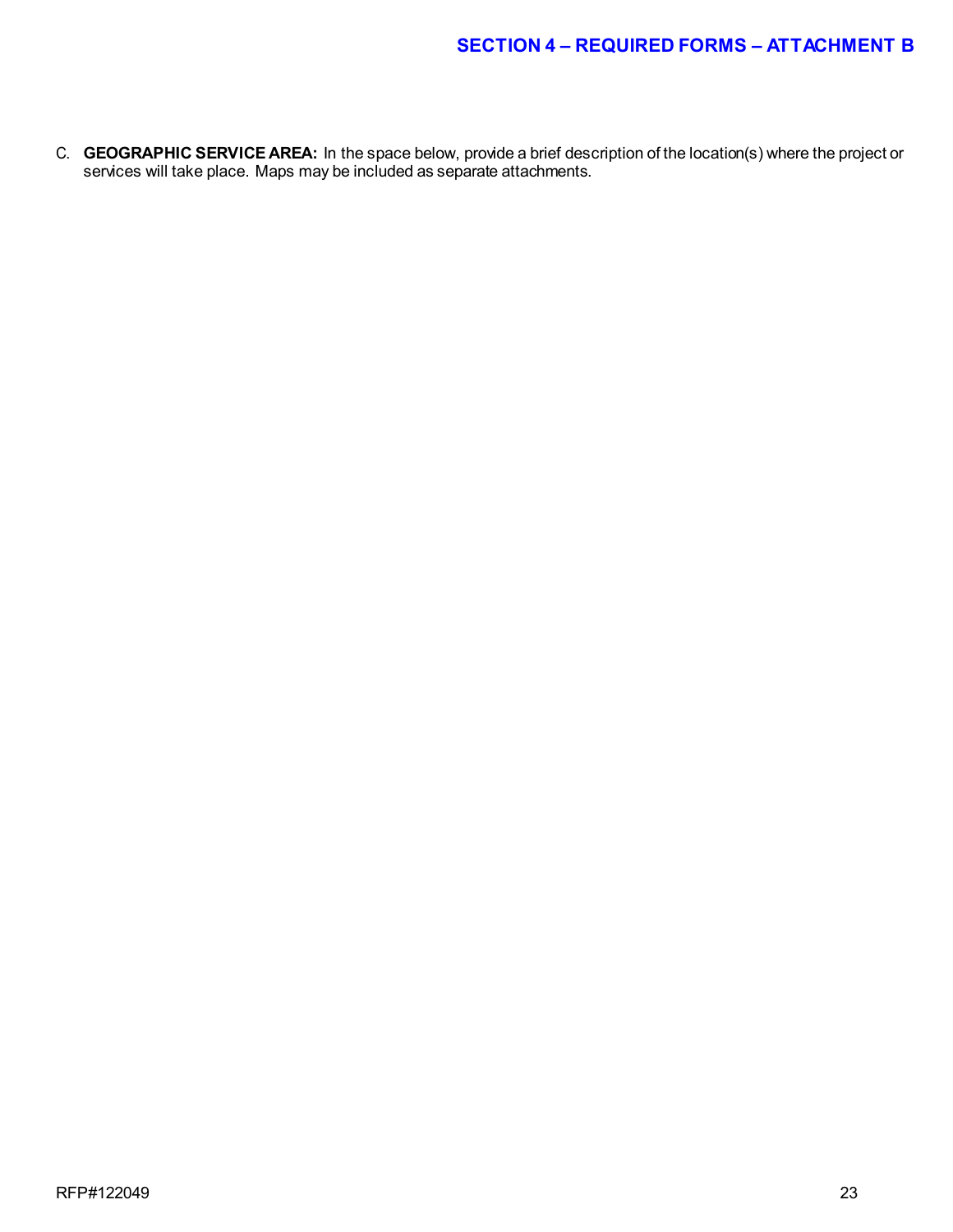C. **GEOGRAPHIC SERVICE AREA:** In the space below, provide a brief description of the location(s) where the project or services will take place. Maps may be included as separate attachments.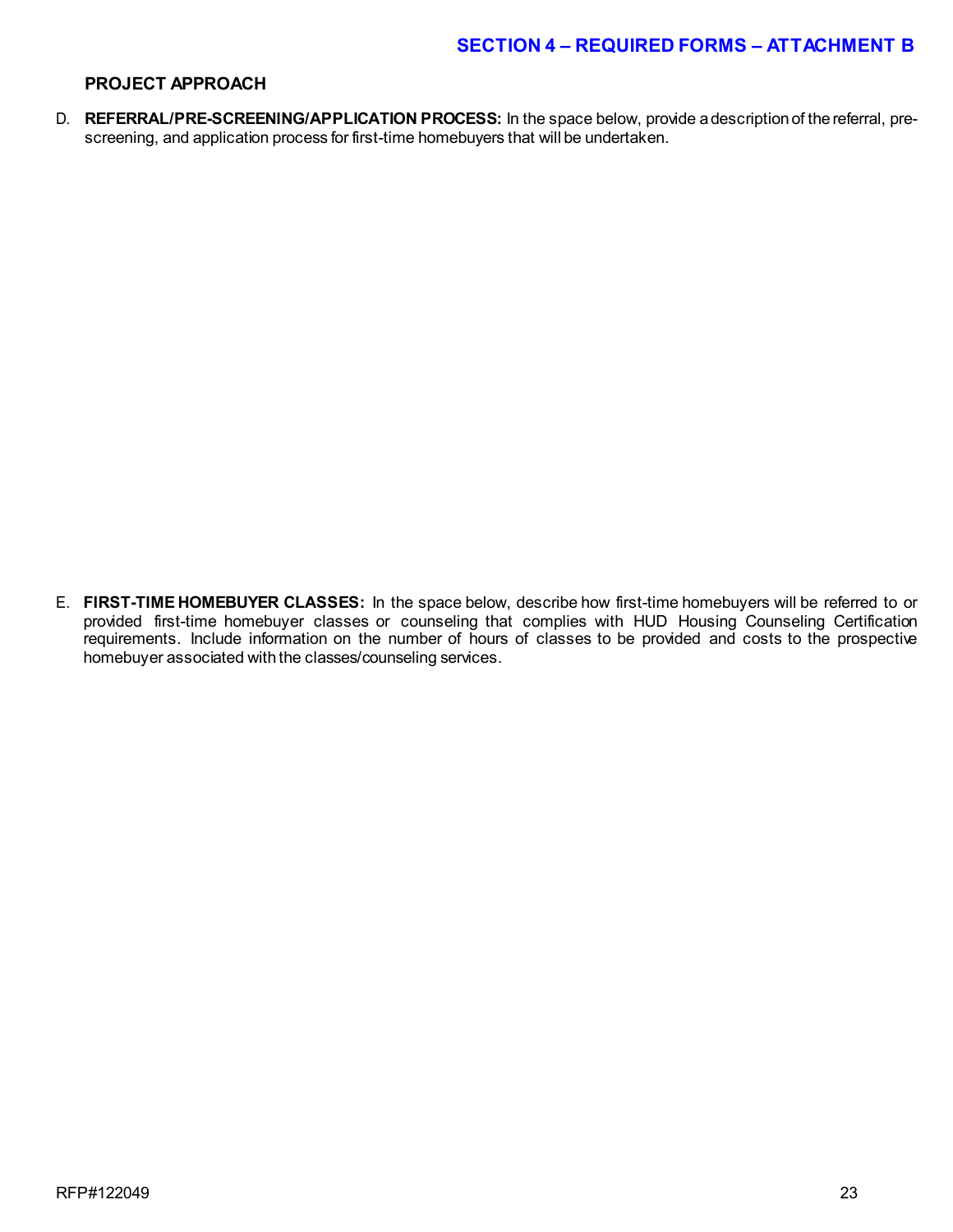#### **PROJECT APPROACH**

D. **REFERRAL/PRE-SCREENING/APPLICATION PROCESS:** In the space below, provide a descriptionof thereferral, prescreening, and application process for first-time homebuyers that will be undertaken.

E. **FIRST-TIME HOMEBUYER CLASSES:** In the space below, describe how first-time homebuyers will be referred to or provided first-time homebuyer classes or counseling that complies with HUD Housing Counseling Certification requirements. Include information on the number of hours of classes to be provided and costs to the prospective homebuyer associated with the classes/counseling services.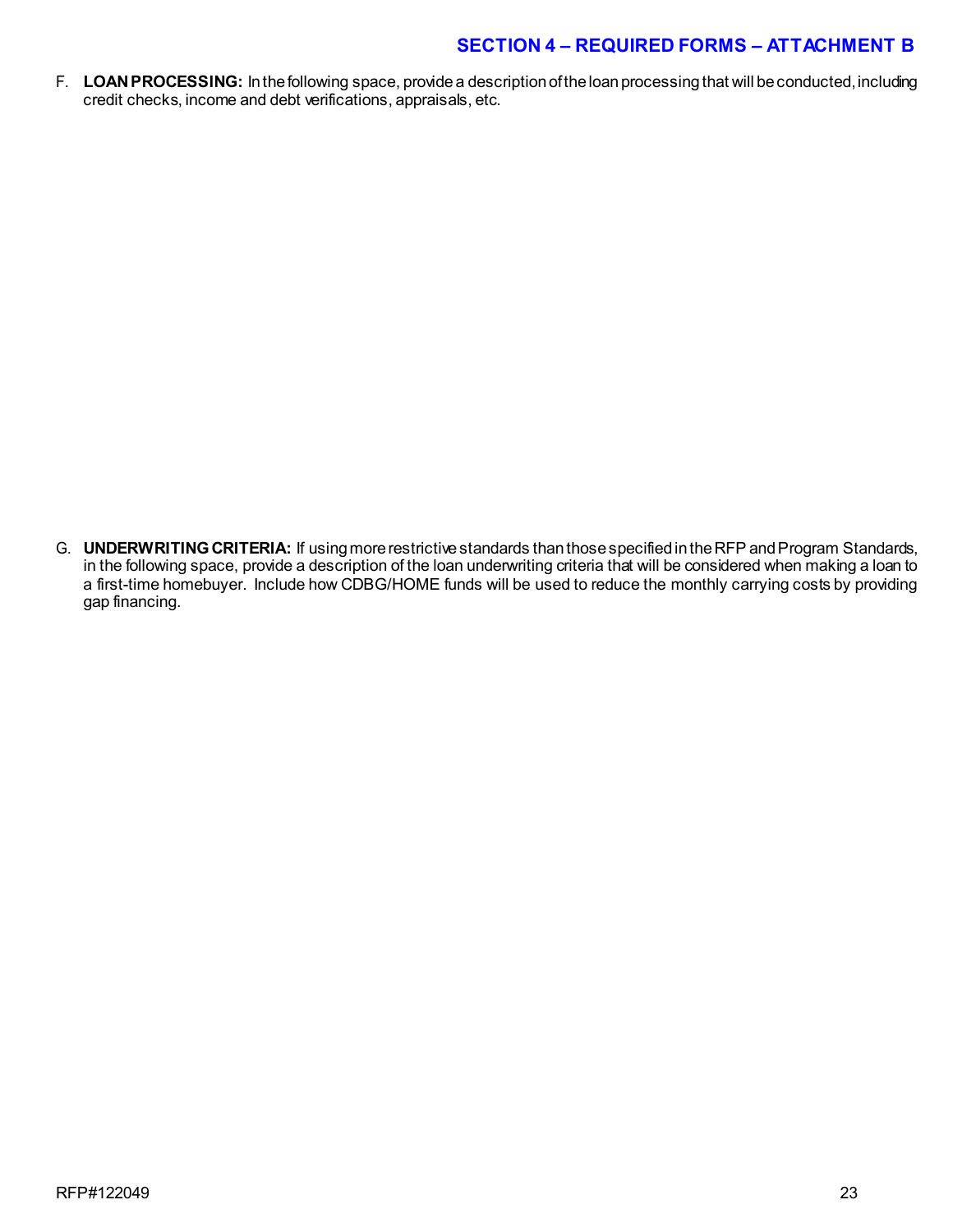F. LOAN PROCESSING: In the following space, provide a description of the loan processing that will be conducted, including credit checks, income and debt verifications, appraisals, etc.

G. **UNDERWRITINGCRITERIA:** If usingmorerestrictivestandards thanthosespecifiedintheRFP andProgram Standards, in the following space, provide a description of the loan underwriting criteria that will be considered when making a loan to a first-time homebuyer. Include how CDBG/HOME funds will be used to reduce the monthly carrying costs by providing gap financing.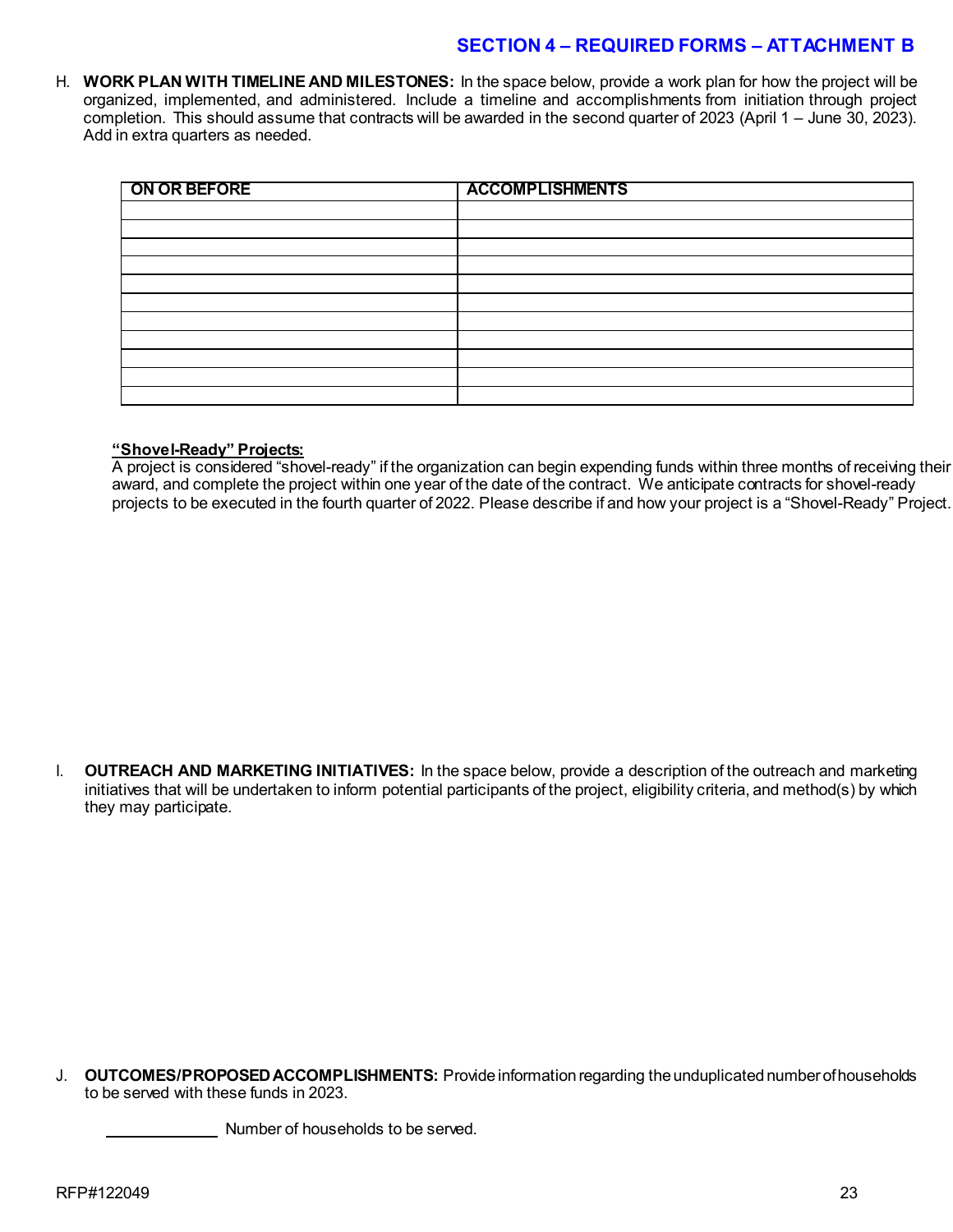H. **WORK PLAN WITH TIMELINE AND MILESTONES:** In the space below, provide a work plan for how the project will be organized, implemented, and administered. Include a timeline and accomplishments from initiation through project completion. This should assume that contracts will be awarded in the second quarter of 2023 (April 1 – June 30, 2023). Add in extra quarters as needed.

| ON OR BEFORE | <b>ACCOMPLISHMENTS</b> |
|--------------|------------------------|
|              |                        |
|              |                        |
|              |                        |
|              |                        |
|              |                        |
|              |                        |
|              |                        |
|              |                        |
|              |                        |
|              |                        |
|              |                        |

#### **"Shovel-Ready" Projects:**

A project is considered "shovel-ready" if the organization can begin expending funds within three months of receiving their award, and complete the project within one year of the date of the contract. We anticipate contracts for shovel-ready projects to be executed in the fourth quarter of 2022. Please describe if and how your project is a "Shovel-Ready" Project.

I. **OUTREACH AND MARKETING INITIATIVES:** In the space below, provide a description of the outreach and marketing initiatives that will be undertaken to inform potential participants of the project, eligibility criteria, and method(s) by which they may participate.

J. **OUTCOMES/PROPOSEDACCOMPLISHMENTS:** Provideinformationregarding theunduplicated numberofhouseholds to be served with these funds in 2023.

Number of households to be served.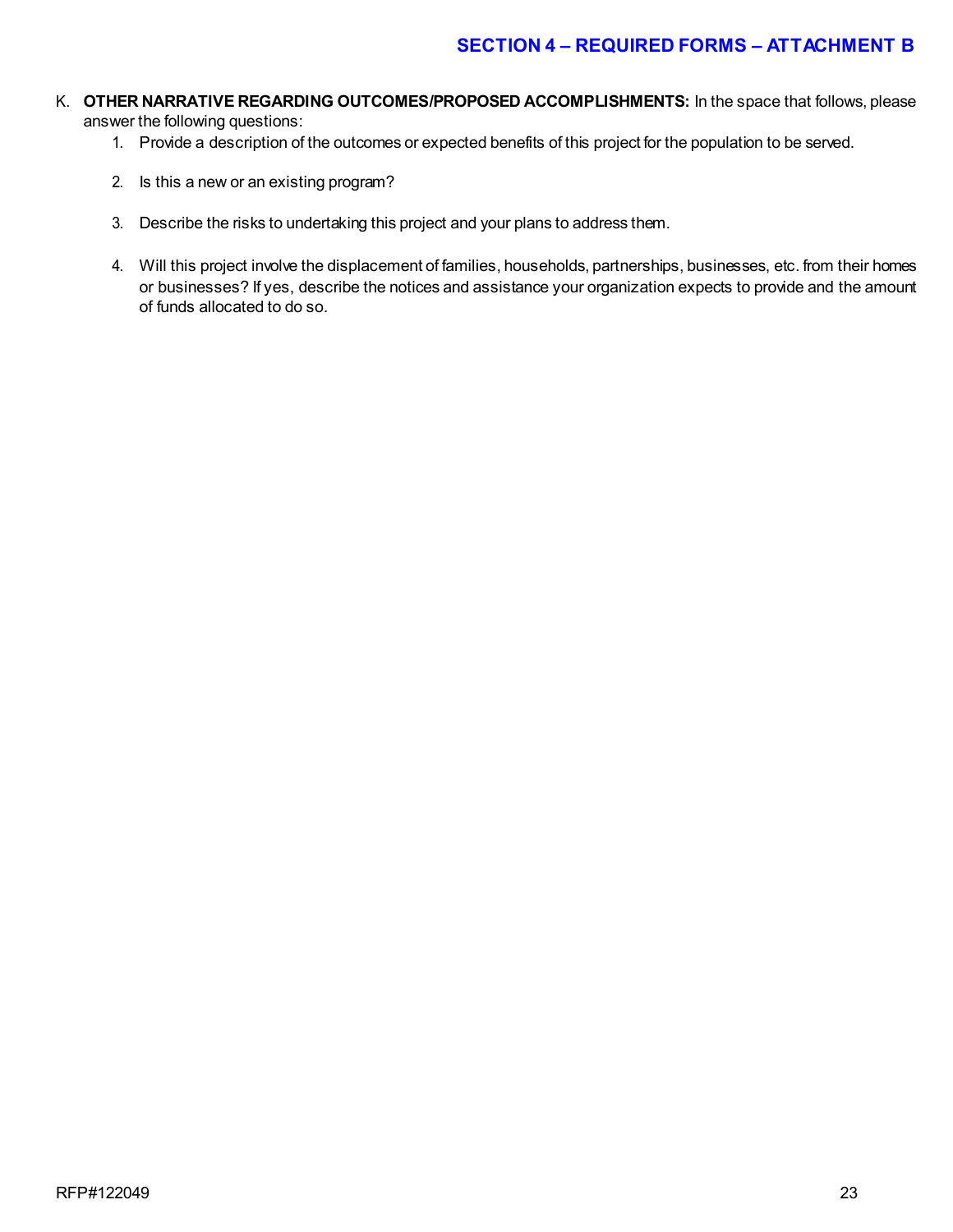- K. **OTHER NARRATIVE REGARDING OUTCOMES/PROPOSED ACCOMPLISHMENTS:** In the space that follows, please answer the following questions:
	- 1. Provide a description of the outcomes or expected benefits of this project for the population to be served.
	- 2. Is this a new or an existing program?
	- 3. Describe the risks to undertaking this project and your plans to address them.
	- 4. Will this project involve the displacement of families, households, partnerships, businesses, etc. from their homes or businesses? If yes, describe the notices and assistance your organization expects to provide and the amount of funds allocated to do so.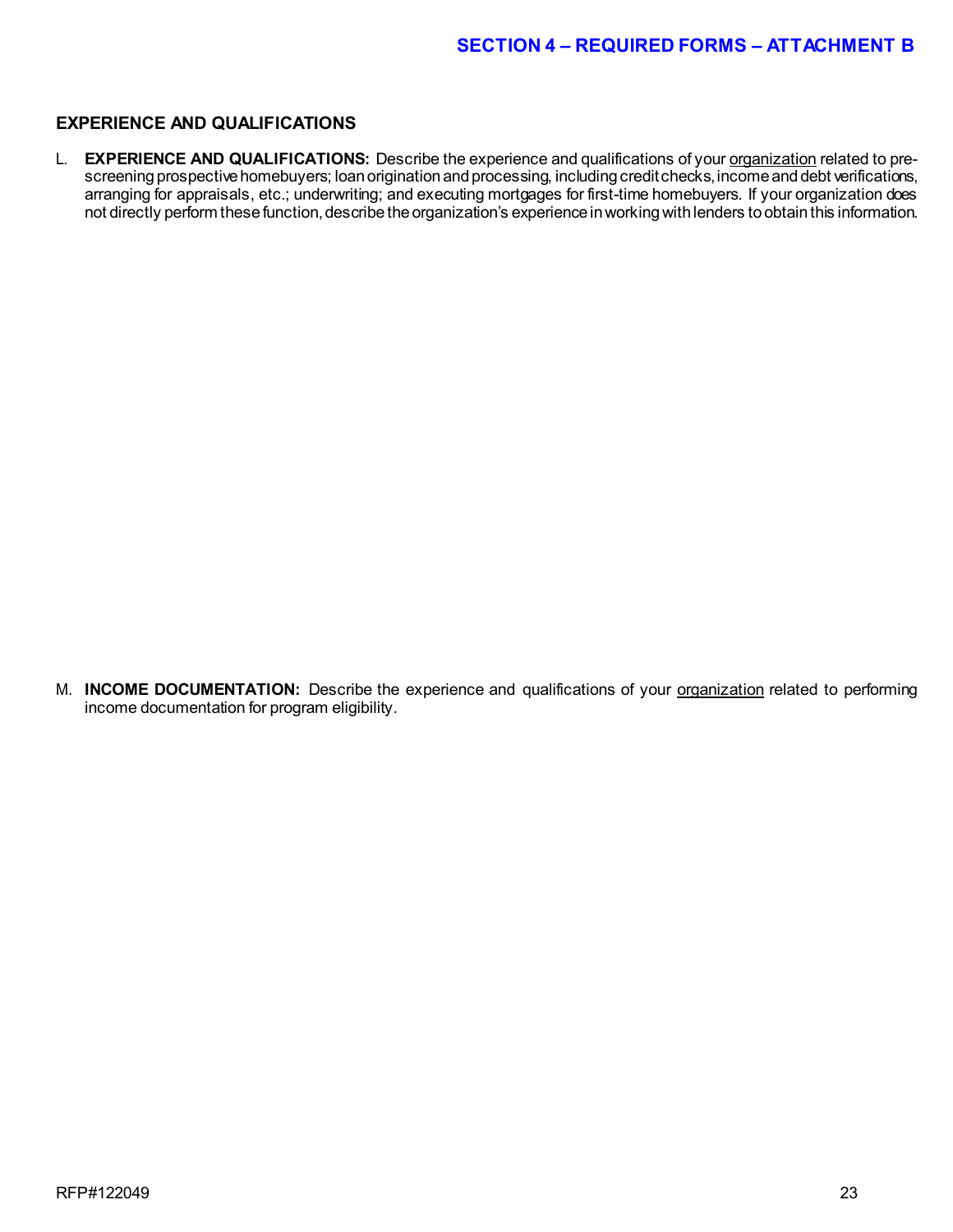#### **EXPERIENCE AND QUALIFICATIONS**

L. **EXPERIENCE AND QUALIFICATIONS:** Describe the experience and qualifications of your organization related to prescreening prospective homebuyers; loan origination and processing, including creditchecks, income and debt verifications, arranging for appraisals, etc.; underwriting; and executing mortgages for first-time homebuyers. If your organization does not directly perform these function, describe the organization's experience in working with lenders to obtain this information.

M. **INCOME DOCUMENTATION:** Describe the experience and qualifications of your **organization** related to performing income documentation for program eligibility.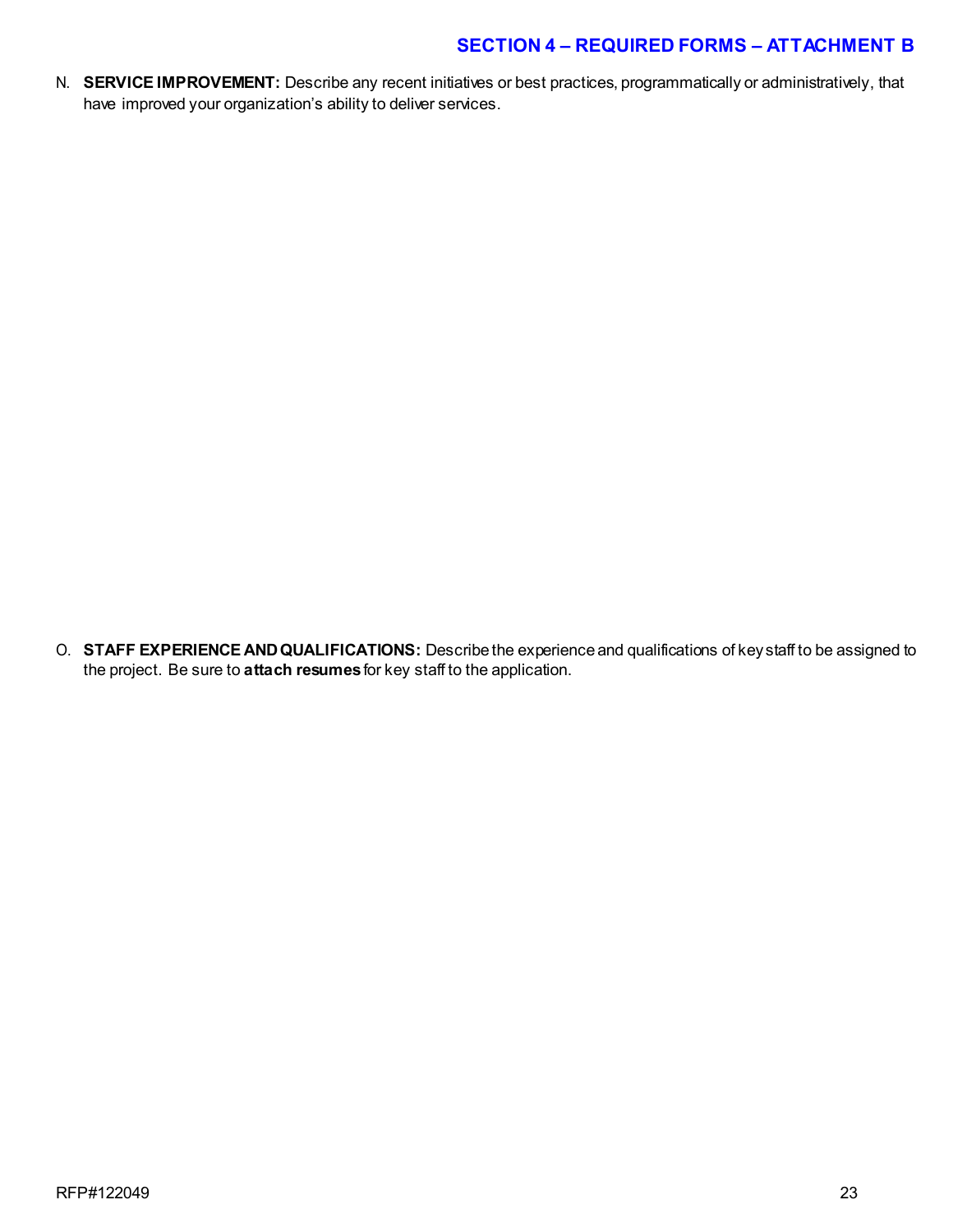N. **SERVICE IMPROVEMENT:** Describe any recent initiatives or best practices, programmatically or administratively, that have improved your organization's ability to deliver services.

O. **STAFF EXPERIENCE ANDQUALIFICATIONS:** Describethe experienceand qualifications of keystaff to be assigned to the project. Be sure to **attach resumes** for key staff to the application.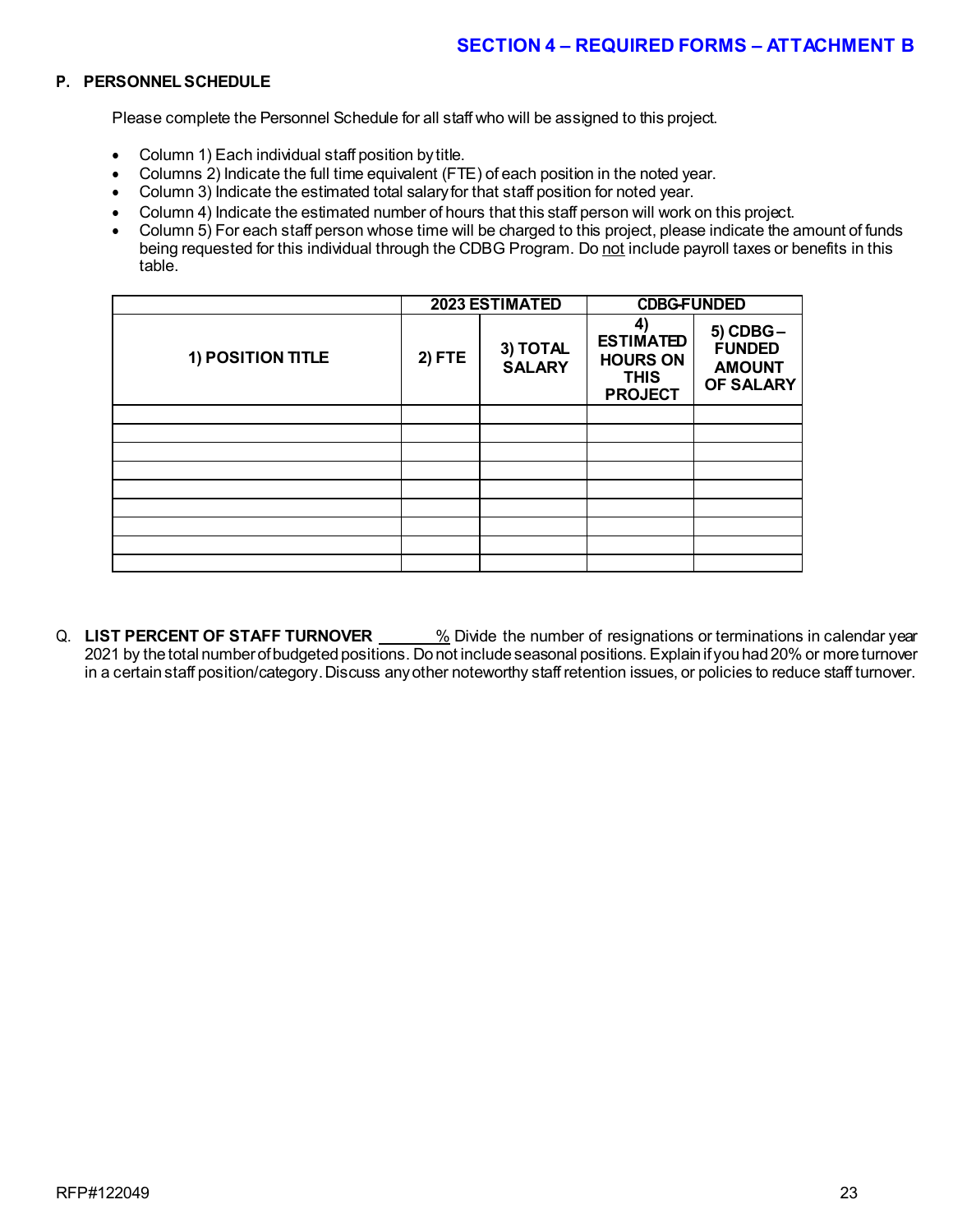#### **P. PERSONNELSCHEDULE**

Please complete the Personnel Schedule for all staff who will be assigned to this project.

- Column 1) Each individual staff position bytitle.
- Columns 2) Indicate the full time equivalent (FTE) of each position in the noted year.
- Column 3) Indicate the estimated total salaryfor that staff position for noted year.
- Column 4) Indicate the estimated number of hours that this staff person will work on this project.
- Column 5) For each staff person whose time will be charged to this project, please indicate the amount of funds being requested for this individual through the CDBG Program. Do not include payroll taxes or benefits in this table.

|                          | 2023 ESTIMATED |                           | <b>CDBG-FUNDED</b>                                                         |                                                         |
|--------------------------|----------------|---------------------------|----------------------------------------------------------------------------|---------------------------------------------------------|
| <b>1) POSITION TITLE</b> | $2)$ FTE       | 3) TOTAL<br><b>SALARY</b> | 4)<br><b>ESTIMATED</b><br><b>HOURS ON</b><br><b>THIS</b><br><b>PROJECT</b> | 5) CDBG-<br><b>FUNDED</b><br><b>AMOUNT</b><br>OF SALARY |
|                          |                |                           |                                                                            |                                                         |
|                          |                |                           |                                                                            |                                                         |
|                          |                |                           |                                                                            |                                                         |
|                          |                |                           |                                                                            |                                                         |
|                          |                |                           |                                                                            |                                                         |
|                          |                |                           |                                                                            |                                                         |
|                          |                |                           |                                                                            |                                                         |
|                          |                |                           |                                                                            |                                                         |
|                          |                |                           |                                                                            |                                                         |

Q. **LIST PERCENT OF STAFF TURNOVER** % Divide the number of resignations or terminations in calendar year 2021 by the total number of budgeted positions. Do not include seasonal positions. Explain if you had 20% or more turnover in a certain staff position/category. Discuss any other noteworthy staff retention issues, or policies to reduce staff turnover.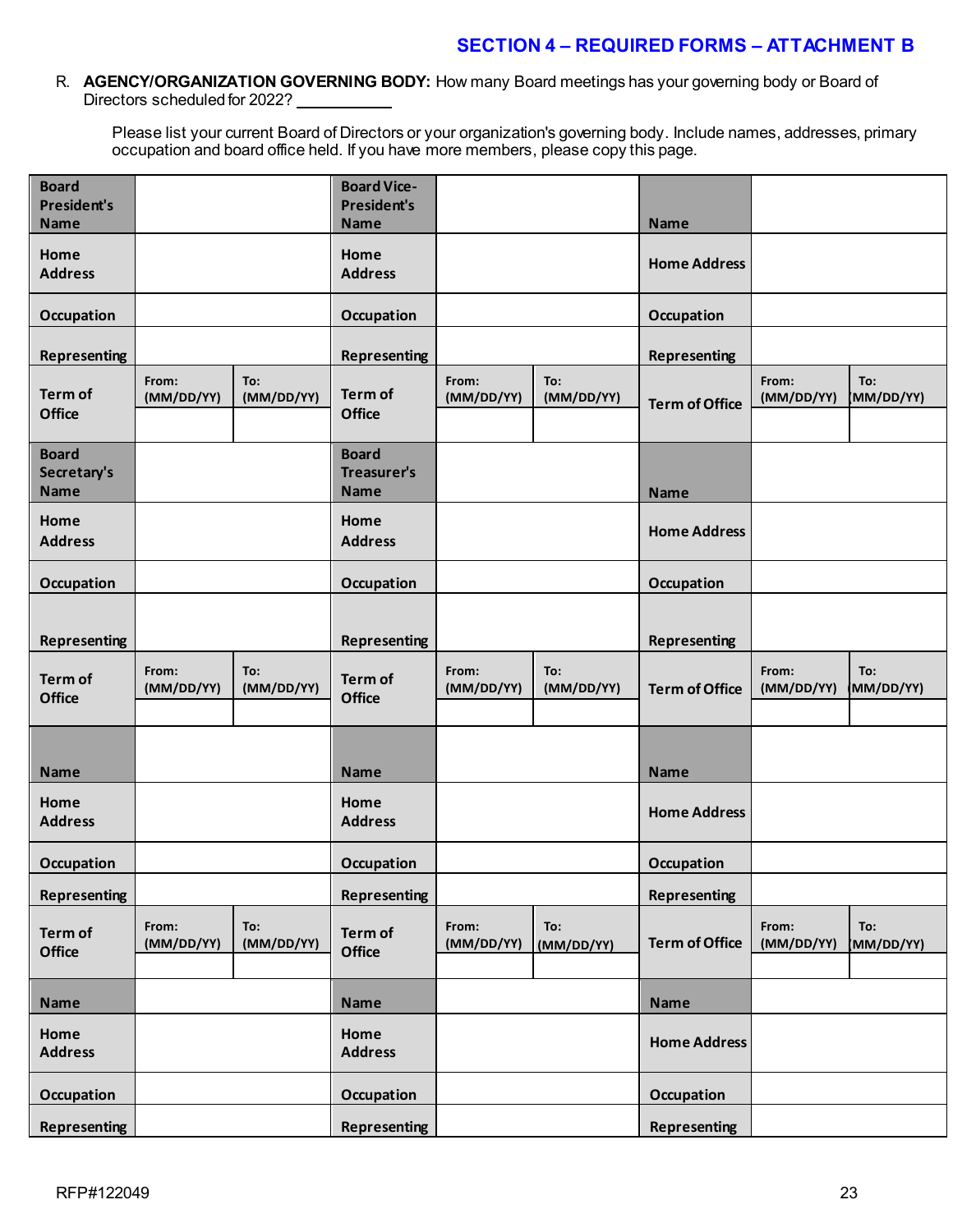R. **AGENCY/ORGANIZATION GOVERNING BODY:** How many Board meetings has your governing body or Board of Directors scheduled for 2022?

Please list your current Board of Directors or your organization's governing body. Include names, addresses, primary occupation and board office held. If you have more members, please copy this page.

| <b>Board</b><br><b>President's</b><br><b>Name</b> |                     |                   | <b>Board Vice-</b><br><b>President's</b><br><b>Name</b> |                     |                   | <b>Name</b>           |                     |                   |
|---------------------------------------------------|---------------------|-------------------|---------------------------------------------------------|---------------------|-------------------|-----------------------|---------------------|-------------------|
| Home<br><b>Address</b>                            |                     |                   | Home<br><b>Address</b>                                  |                     |                   | <b>Home Address</b>   |                     |                   |
| <b>Occupation</b>                                 |                     |                   | Occupation                                              |                     |                   | Occupation            |                     |                   |
| <b>Representing</b>                               |                     |                   | <b>Representing</b>                                     |                     |                   | <b>Representing</b>   |                     |                   |
| <b>Term of</b><br><b>Office</b>                   | From:<br>(MM/DD/YY) | To:<br>(MM/DD/YY) | Term of<br><b>Office</b>                                | From:<br>(MM/DD/YY) | To:<br>(MM/DD/YY) | <b>Term of Office</b> | From:<br>(MM/DD/YY) | To:<br>(MM/DD/YY) |
| <b>Board</b><br>Secretary's<br><b>Name</b>        |                     |                   | <b>Board</b><br>Treasurer's<br><b>Name</b>              |                     |                   | <b>Name</b>           |                     |                   |
| Home<br><b>Address</b>                            |                     |                   | Home<br><b>Address</b>                                  |                     |                   | <b>Home Address</b>   |                     |                   |
| <b>Occupation</b>                                 |                     |                   | Occupation                                              |                     |                   | <b>Occupation</b>     |                     |                   |
| <b>Representing</b>                               |                     |                   | <b>Representing</b>                                     |                     |                   | Representing          |                     |                   |
|                                                   |                     |                   |                                                         |                     |                   |                       |                     |                   |
| Term of<br><b>Office</b>                          | From:<br>(MM/DD/YY) | To:<br>(MM/DD/YY) | Term of<br><b>Office</b>                                | From:<br>(MM/DD/YY) | To:<br>(MM/DD/YY) | <b>Term of Office</b> | From:<br>(MM/DD/YY) | To:<br>MM/DD/YY)  |
| <b>Name</b>                                       |                     |                   | <b>Name</b>                                             |                     |                   | <b>Name</b>           |                     |                   |
| Home<br><b>Address</b>                            |                     |                   | Home<br><b>Address</b>                                  |                     |                   | <b>Home Address</b>   |                     |                   |
| <b>Occupation</b>                                 |                     |                   | <b>Occupation</b>                                       |                     |                   | Occupation            |                     |                   |
| <b>Representing</b>                               |                     |                   | <b>Representing</b>                                     |                     |                   | <b>Representing</b>   |                     |                   |
| Term of<br><b>Office</b>                          | From:<br>(MM/DD/YY) | To:<br>(MM/DD/YY) | Term of<br><b>Office</b>                                | From:<br>(MM/DD/YY) | To:<br>(MM/DD/YY) | <b>Term of Office</b> | From:<br>(MM/DD/YY) | To:<br>(MM/DD/YY) |
|                                                   |                     |                   | <b>Name</b>                                             |                     |                   | <b>Name</b>           |                     |                   |
| <b>Name</b><br>Home<br><b>Address</b>             |                     |                   | Home<br><b>Address</b>                                  |                     |                   | <b>Home Address</b>   |                     |                   |
| <b>Occupation</b>                                 |                     |                   | Occupation                                              |                     |                   | Occupation            |                     |                   |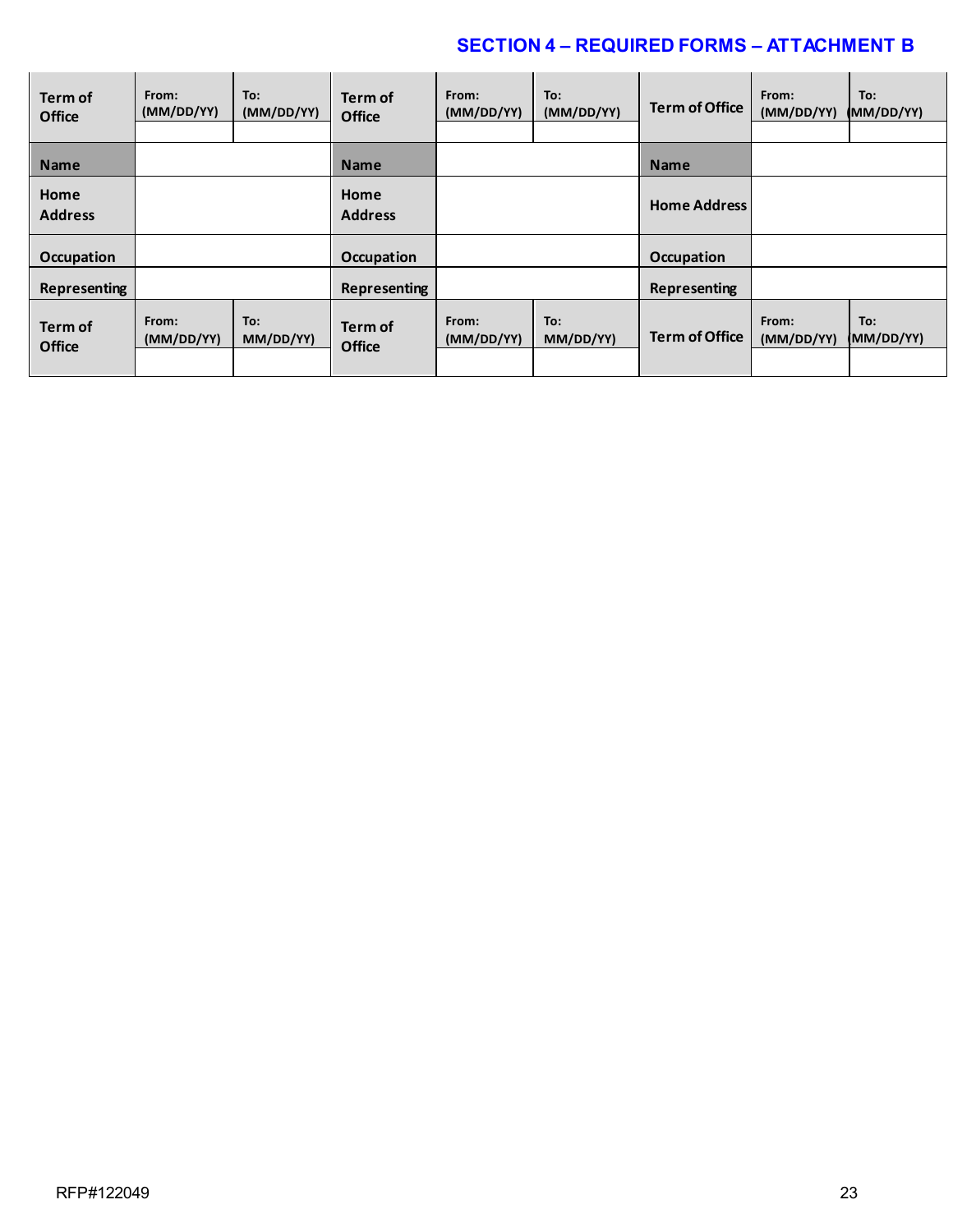| Term of<br><b>Office</b> | From:<br>(MM/DD/YY) | To:<br>(MM/DD/YY) | Term of<br><b>Office</b> | From:<br>(MM/DD/YY) | To:<br>(MM/DD/YY) | <b>Term of Office</b> | From:<br>(MM/DD/YY) | To:<br>(MM/DD/YY) |
|--------------------------|---------------------|-------------------|--------------------------|---------------------|-------------------|-----------------------|---------------------|-------------------|
| <b>Name</b>              |                     |                   | <b>Name</b>              |                     |                   | <b>Name</b>           |                     |                   |
| Home<br><b>Address</b>   |                     |                   | Home<br><b>Address</b>   |                     |                   | <b>Home Address</b>   |                     |                   |
| <b>Occupation</b>        |                     |                   | Occupation               |                     |                   | Occupation            |                     |                   |
| <b>Representing</b>      |                     |                   | <b>Representing</b>      |                     |                   | Representing          |                     |                   |
| Term of<br><b>Office</b> | From:<br>(MM/DD/YY) | To:<br>MM/DD/YY)  | Term of<br><b>Office</b> | From:<br>(MM/DD/YY) | To:<br>MM/DD/YY)  | <b>Term of Office</b> | From:<br>(MM/DD/YY) | To:<br>(MM/DD/YY) |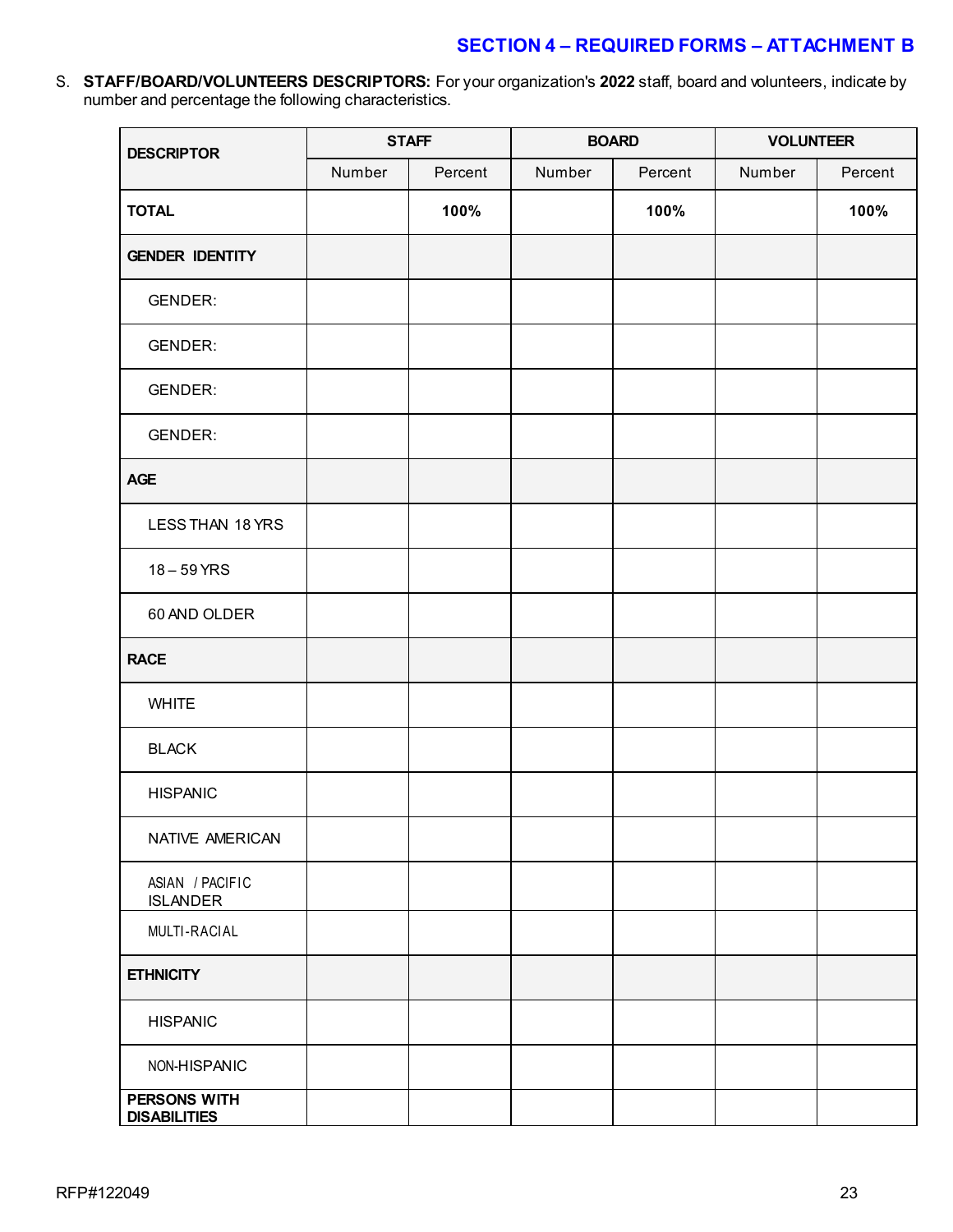S. **STAFF/BOARD/VOLUNTEERS DESCRIPTORS:** For your organization's **2022** staff, board and volunteers, indicate by number and percentage the following characteristics.

| <b>DESCRIPTOR</b>                          | <b>STAFF</b> |         |        | <b>BOARD</b> | <b>VOLUNTEER</b> |         |
|--------------------------------------------|--------------|---------|--------|--------------|------------------|---------|
|                                            | Number       | Percent | Number | Percent      | Number           | Percent |
| <b>TOTAL</b>                               |              | 100%    |        | 100%         |                  | 100%    |
| <b>GENDER IDENTITY</b>                     |              |         |        |              |                  |         |
| <b>GENDER:</b>                             |              |         |        |              |                  |         |
| <b>GENDER:</b>                             |              |         |        |              |                  |         |
| <b>GENDER:</b>                             |              |         |        |              |                  |         |
| <b>GENDER:</b>                             |              |         |        |              |                  |         |
| <b>AGE</b>                                 |              |         |        |              |                  |         |
| LESS THAN 18 YRS                           |              |         |        |              |                  |         |
| $18 - 59$ YRS                              |              |         |        |              |                  |         |
| 60 AND OLDER                               |              |         |        |              |                  |         |
| <b>RACE</b>                                |              |         |        |              |                  |         |
| <b>WHITE</b>                               |              |         |        |              |                  |         |
| <b>BLACK</b>                               |              |         |        |              |                  |         |
| <b>HISPANIC</b>                            |              |         |        |              |                  |         |
| NATIVE AMERICAN                            |              |         |        |              |                  |         |
| ASIAN / PACIFIC<br><b>ISLANDER</b>         |              |         |        |              |                  |         |
| MULTI-RACIAL                               |              |         |        |              |                  |         |
| <b>ETHNICITY</b>                           |              |         |        |              |                  |         |
| <b>HISPANIC</b>                            |              |         |        |              |                  |         |
| NON-HISPANIC                               |              |         |        |              |                  |         |
| <b>PERSONS WITH</b><br><b>DISABILITIES</b> |              |         |        |              |                  |         |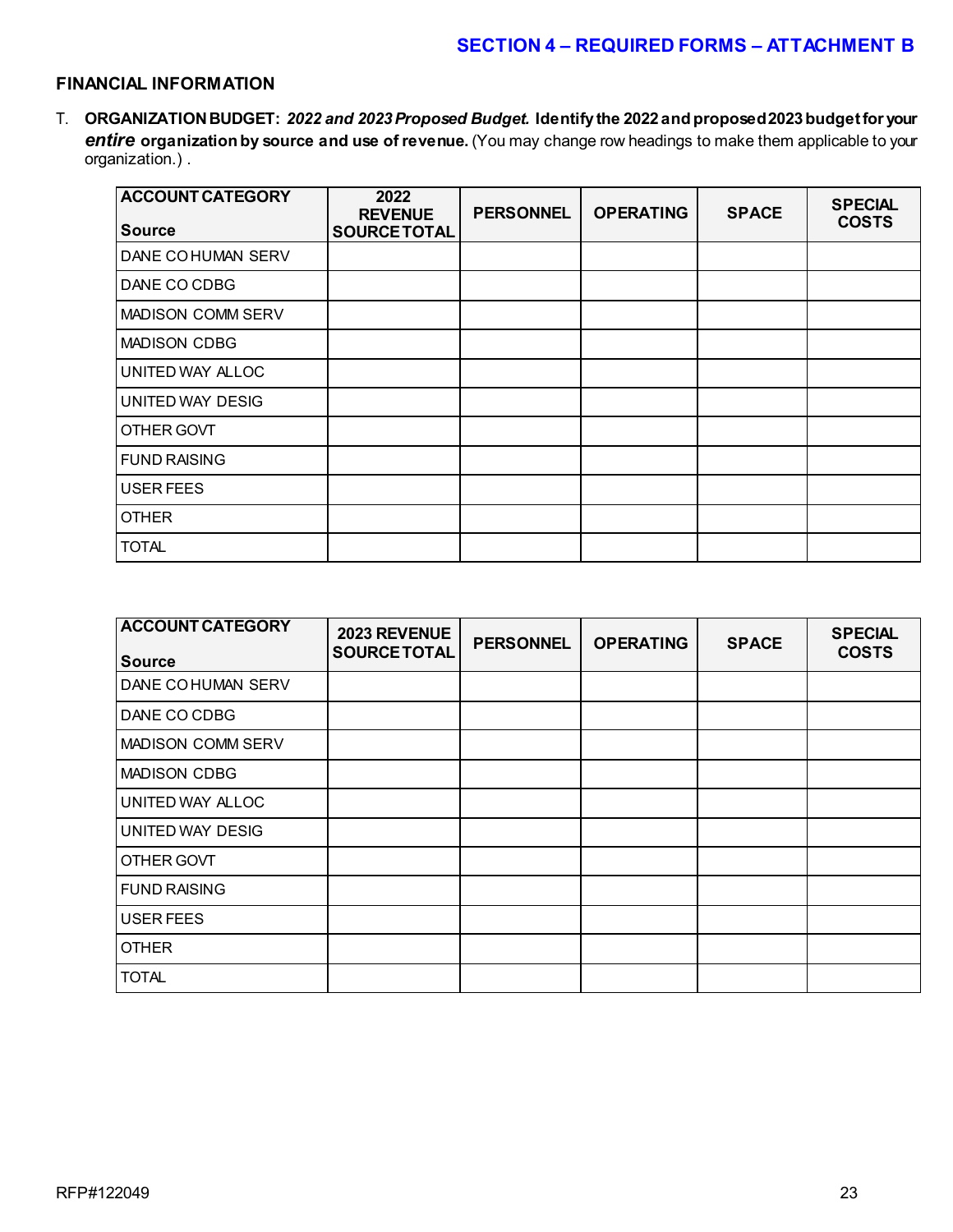#### **FINANCIAL INFORMATION**

T. **ORGANIZATIONBUDGET:** *2022 and 2023 Proposed Budget.* **Identifythe 2022 and proposed2023 budgetfor your** *entire* **organization by source and use of revenue.** (You may change row headings to make them applicable to your organization.) .

| <b>ACCOUNT CATEGORY</b><br><b>Source</b> | 2022<br><b>REVENUE</b><br><b>SOURCETOTAL</b> | <b>PERSONNEL</b> | <b>OPERATING</b> | <b>SPACE</b> | <b>SPECIAL</b><br><b>COSTS</b> |
|------------------------------------------|----------------------------------------------|------------------|------------------|--------------|--------------------------------|
| DANE COHUMAN SERV                        |                                              |                  |                  |              |                                |
| DANE CO CDBG                             |                                              |                  |                  |              |                                |
| MADISON COMM SERV                        |                                              |                  |                  |              |                                |
| <b>MADISON CDBG</b>                      |                                              |                  |                  |              |                                |
| UNITED WAY ALLOC                         |                                              |                  |                  |              |                                |
| UNITED WAY DESIG                         |                                              |                  |                  |              |                                |
| OTHER GOVT                               |                                              |                  |                  |              |                                |
| <b>FUND RAISING</b>                      |                                              |                  |                  |              |                                |
| <b>USER FEES</b>                         |                                              |                  |                  |              |                                |
| <b>OTHER</b>                             |                                              |                  |                  |              |                                |
| <b>TOTAL</b>                             |                                              |                  |                  |              |                                |

| <b>ACCOUNT CATEGORY</b><br><b>Source</b> | 2023 REVENUE<br><b>SOURCETOTAL</b> | <b>PERSONNEL</b> | <b>OPERATING</b> | <b>SPACE</b> | <b>SPECIAL</b><br><b>COSTS</b> |
|------------------------------------------|------------------------------------|------------------|------------------|--------------|--------------------------------|
| DANE COHUMAN SERV                        |                                    |                  |                  |              |                                |
| DANE CO CDBG                             |                                    |                  |                  |              |                                |
| MADISON COMM SERV                        |                                    |                  |                  |              |                                |
| <b>MADISON CDBG</b>                      |                                    |                  |                  |              |                                |
| UNITED WAY ALLOC                         |                                    |                  |                  |              |                                |
| UNITED WAY DESIG                         |                                    |                  |                  |              |                                |
| OTHER GOVT                               |                                    |                  |                  |              |                                |
| <b>FUND RAISING</b>                      |                                    |                  |                  |              |                                |
| <b>USER FEES</b>                         |                                    |                  |                  |              |                                |
| <b>OTHER</b>                             |                                    |                  |                  |              |                                |
| <b>TOTAL</b>                             |                                    |                  |                  |              |                                |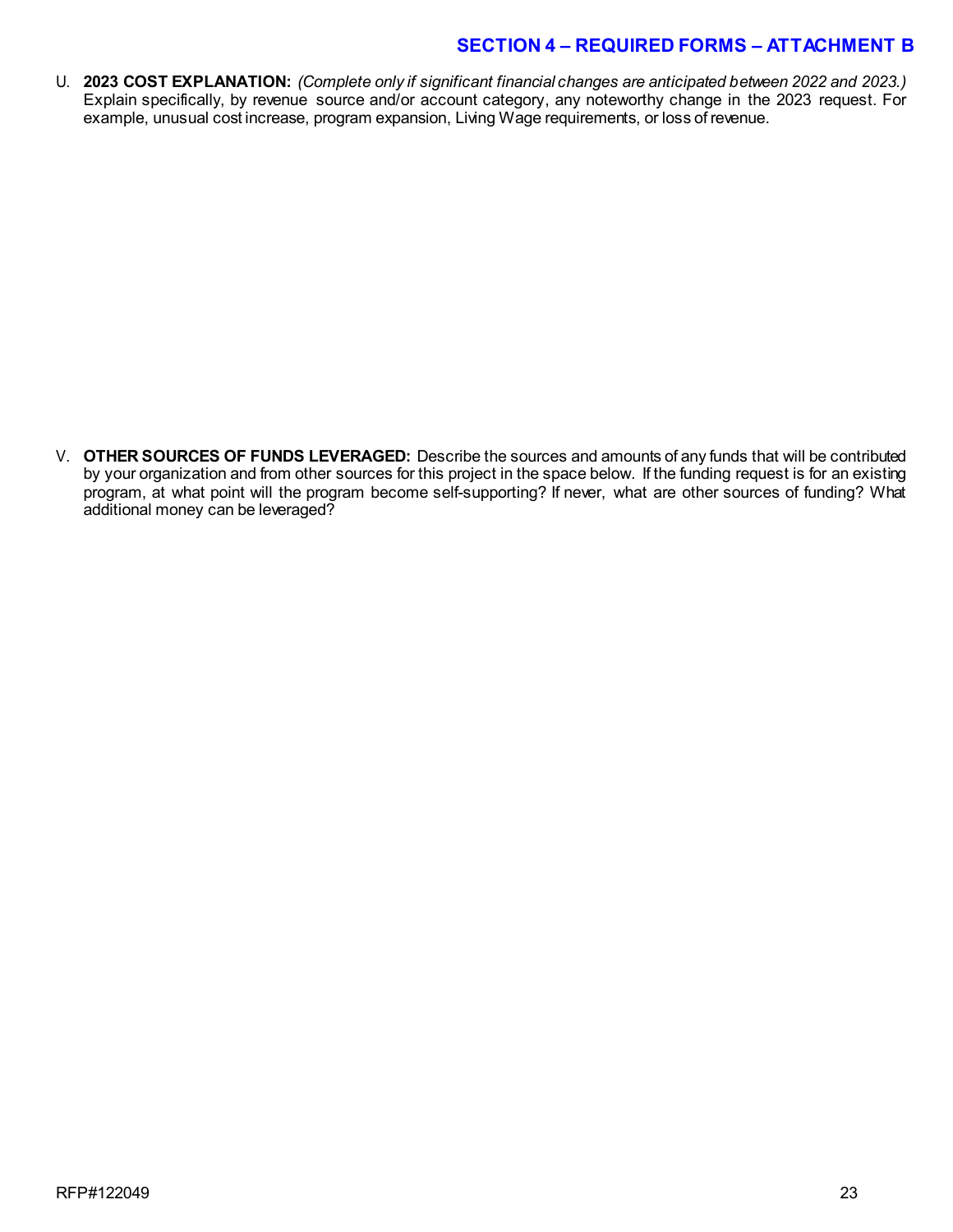U. **2023 COST EXPLANATION:** *(Complete only if significant financial changes are anticipated between 2022 and 2023.)*  Explain specifically, by revenue source and/or account category, any noteworthy change in the 2023 request. For example, unusual cost increase, program expansion, Living Wage requirements, or loss of revenue.

V. **OTHER SOURCES OF FUNDS LEVERAGED:** Describe the sources and amounts of any funds that will be contributed by your organization and from other sources for this project in the space below. If the funding request is for an existing program, at what point will the program become self-supporting? If never, what are other sources of funding? What additional money can be leveraged?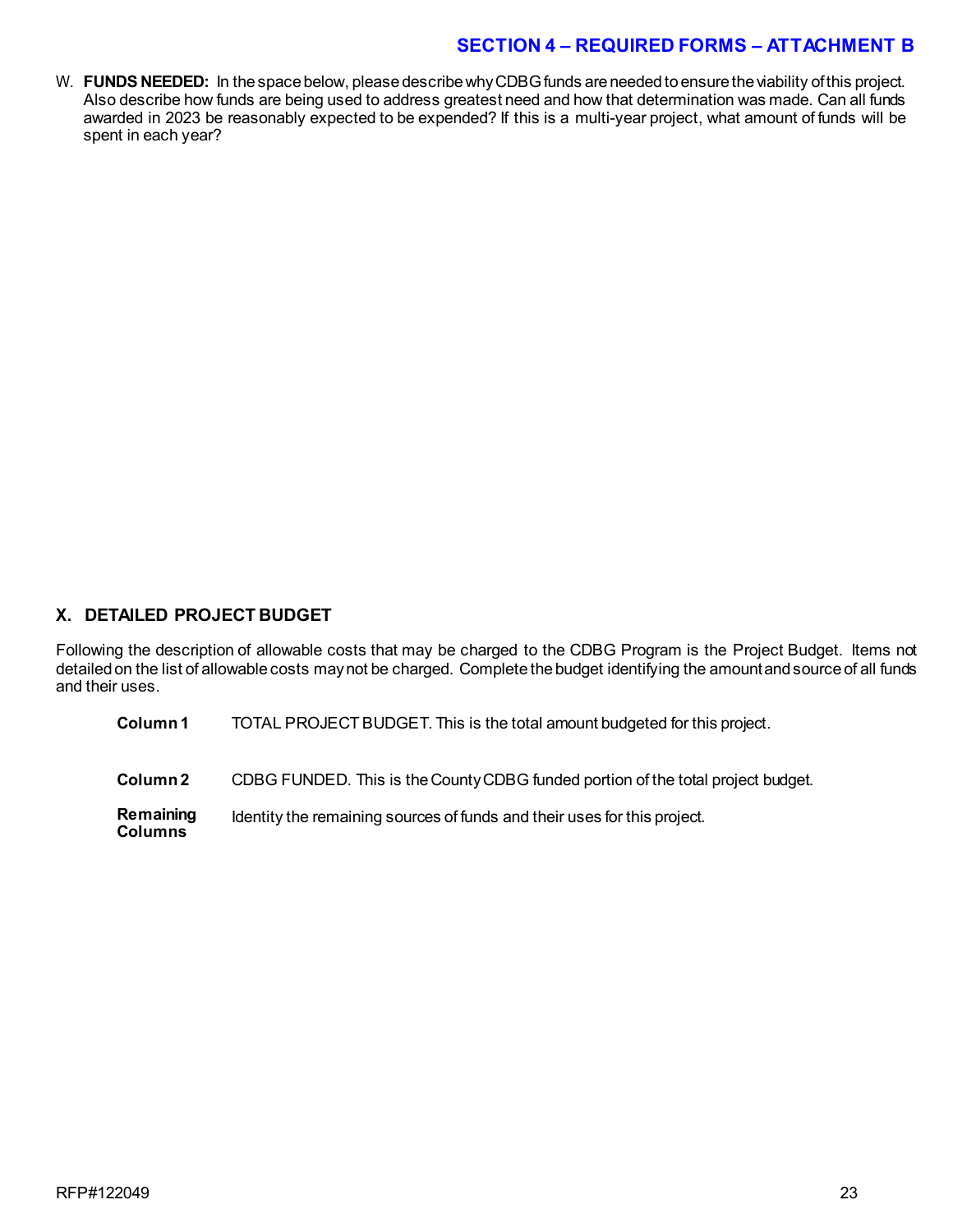W. **FUNDS NEEDED:** In the space below, please describe why CDBG funds are needed to ensure the viability of this project. Also describe how funds are being used to address greatest need and how that determination was made. Can all funds awarded in 2023 be reasonably expected to be expended? If this is a multi-year project, what amount of funds will be spent in each year?

#### **X. DETAILED PROJECT BUDGET**

Following the description of allowable costs that may be charged to the CDBG Program is the Project Budget. Items not detailed on the list of allowable costs may not be charged. Complete the budget identifying the amountand source of all funds and their uses.

**Column 1** TOTAL PROJECT BUDGET. This is the total amount budgeted for this project.

**Column 2** CDBG FUNDED. This is theCountyCDBG funded portion of the total project budget.

**Remaining**  Identity the remaining sources of funds and their uses for this project.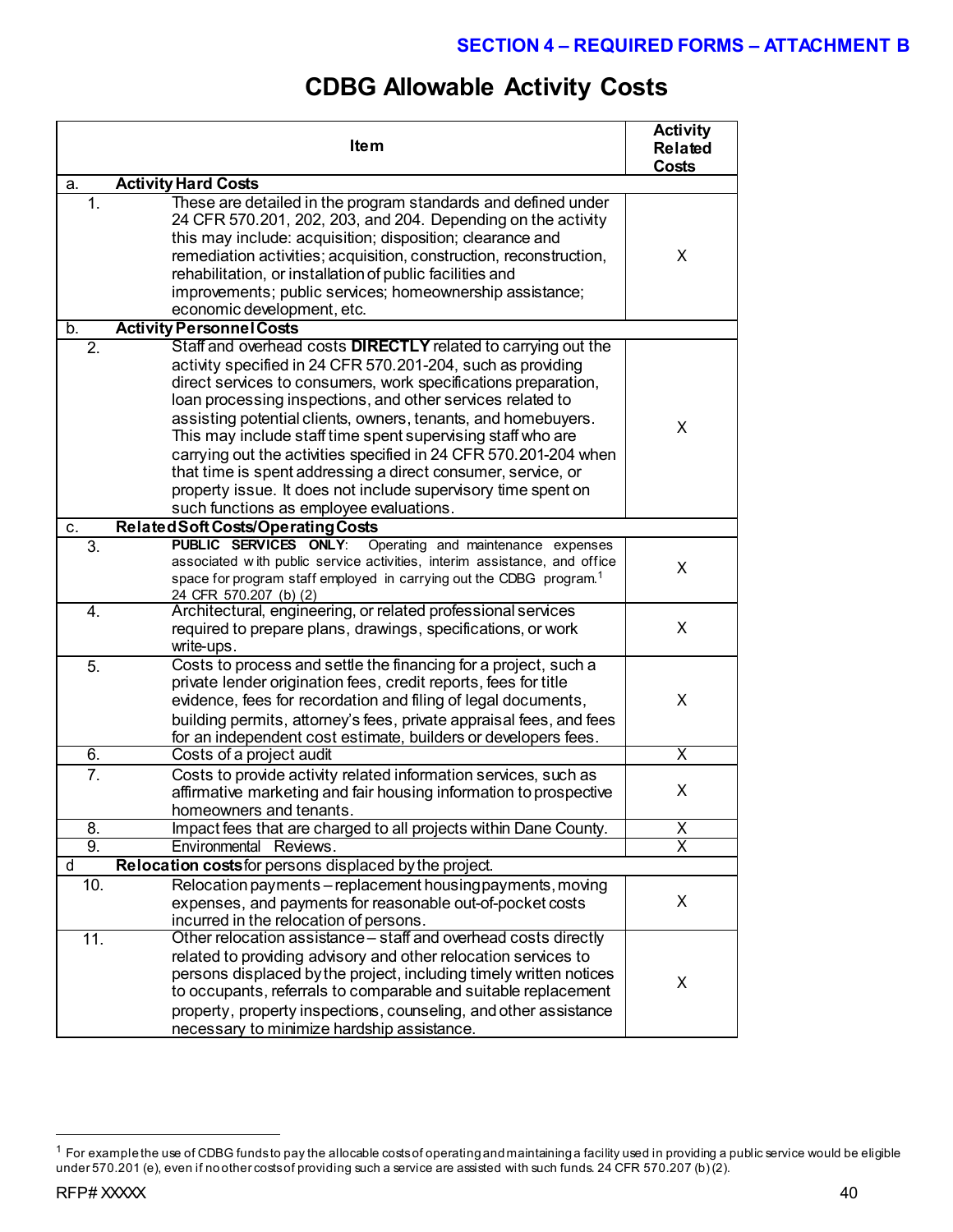# **CDBG Allowable Activity Costs**

|                  | <b>Item</b>                                                                                                                                                                                                                                                                                                                                                                                                                                                                                                                                                                                                                                         | <b>Activity</b><br><b>Related</b><br>Costs |
|------------------|-----------------------------------------------------------------------------------------------------------------------------------------------------------------------------------------------------------------------------------------------------------------------------------------------------------------------------------------------------------------------------------------------------------------------------------------------------------------------------------------------------------------------------------------------------------------------------------------------------------------------------------------------------|--------------------------------------------|
| a.               | <b>Activity Hard Costs</b>                                                                                                                                                                                                                                                                                                                                                                                                                                                                                                                                                                                                                          |                                            |
| $\overline{1}$ . | These are detailed in the program standards and defined under<br>24 CFR 570.201, 202, 203, and 204. Depending on the activity<br>this may include: acquisition; disposition; clearance and<br>remediation activities; acquisition, construction, reconstruction,<br>rehabilitation, or installation of public facilities and<br>improvements; public services; homeownership assistance;<br>economic development, etc.                                                                                                                                                                                                                              | X                                          |
| b.               | <b>Activity Personnel Costs</b>                                                                                                                                                                                                                                                                                                                                                                                                                                                                                                                                                                                                                     |                                            |
| $\overline{2}$ . | Staff and overhead costs <b>DIRECTLY</b> related to carrying out the<br>activity specified in 24 CFR 570.201-204, such as providing<br>direct services to consumers, work specifications preparation,<br>loan processing inspections, and other services related to<br>assisting potential clients, owners, tenants, and homebuyers.<br>This may include staff time spent supervising staff who are<br>carrying out the activities specified in 24 CFR 570.201-204 when<br>that time is spent addressing a direct consumer, service, or<br>property issue. It does not include supervisory time spent on<br>such functions as employee evaluations. | X                                          |
| c.               | Related Soft Costs/Operating Costs                                                                                                                                                                                                                                                                                                                                                                                                                                                                                                                                                                                                                  |                                            |
| 3.               | PUBLIC SERVICES ONLY: Operating and maintenance expenses<br>associated with public service activities, interim assistance, and office<br>space for program staff employed in carrying out the CDBG program. <sup>1</sup><br>24 CFR 570.207 (b) (2)                                                                                                                                                                                                                                                                                                                                                                                                  | X                                          |
| 4.               | Architectural, engineering, or related professional services<br>required to prepare plans, drawings, specifications, or work<br>write-ups.                                                                                                                                                                                                                                                                                                                                                                                                                                                                                                          | X                                          |
| 5.               | Costs to process and settle the financing for a project, such a<br>private lender origination fees, credit reports, fees for title<br>evidence, fees for recordation and filing of legal documents,<br>building permits, attorney's fees, private appraisal fees, and fees<br>for an independent cost estimate, builders or developers fees.                                                                                                                                                                                                                                                                                                        | X                                          |
| 6.               | Costs of a project audit                                                                                                                                                                                                                                                                                                                                                                                                                                                                                                                                                                                                                            | X                                          |
| 7.               | Costs to provide activity related information services, such as<br>affirmative marketing and fair housing information to prospective<br>homeowners and tenants.                                                                                                                                                                                                                                                                                                                                                                                                                                                                                     | X                                          |
| 8.               | Impact fees that are charged to all projects within Dane County.                                                                                                                                                                                                                                                                                                                                                                                                                                                                                                                                                                                    | X                                          |
| 9.               | Environmental Reviews.                                                                                                                                                                                                                                                                                                                                                                                                                                                                                                                                                                                                                              | $\overline{\mathsf{x}}$                    |
| d                | Relocation costs for persons displaced by the project.                                                                                                                                                                                                                                                                                                                                                                                                                                                                                                                                                                                              |                                            |
| 10.              | Relocation payments – replacement housing payments, moving<br>expenses, and payments for reasonable out-of-pocket costs<br>incurred in the relocation of persons.                                                                                                                                                                                                                                                                                                                                                                                                                                                                                   | X                                          |
| 11.              | Other relocation assistance - staff and overhead costs directly<br>related to providing advisory and other relocation services to<br>persons displaced by the project, including timely written notices<br>to occupants, referrals to comparable and suitable replacement<br>property, property inspections, counseling, and other assistance<br>necessary to minimize hardship assistance.                                                                                                                                                                                                                                                         | X                                          |

<span id="page-18-0"></span> $1$  For example the use of CDBG funds to pay the allocable costs of operating and maintaining a facility used in providing a public service would be eligible under 570.201 (e), even if no other costs of providing such a service are assisted with such funds. 24 CFR 570.207 (b) (2).